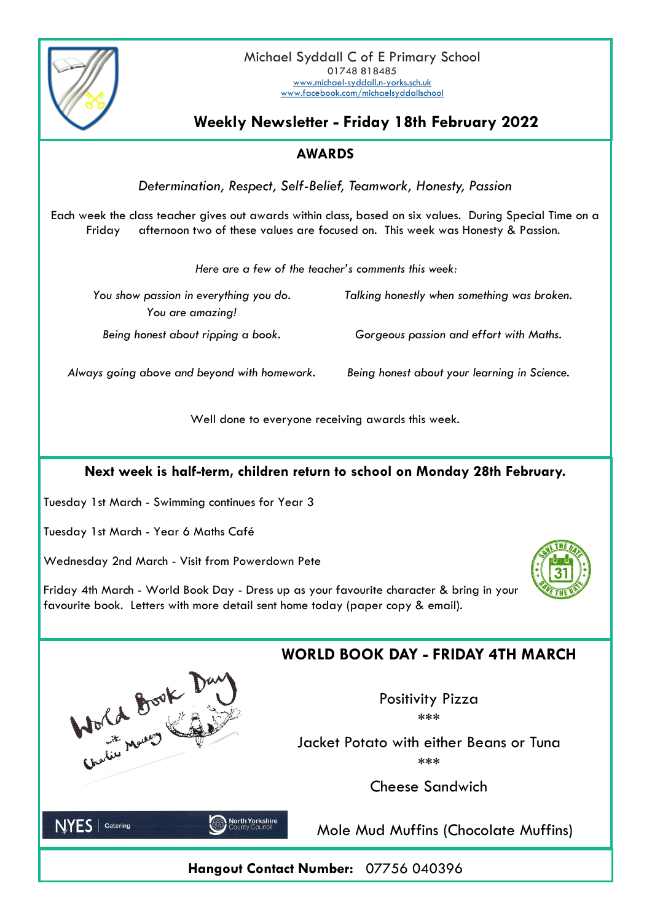Michael Syddall C of E Primary School [www.michael-syddall.n-yorks.sch.uk](http://www.michael-syddall.n-yorks.sch.uk) [www.facebook.com/michaelsyddallschool](http://www.facebook.com/michaelsyddallschool)



**Weekly Newsletter - Friday 18th February 2022**

01748 818485

### **AWARDS**

*Determination, Respect, Self-Belief, Teamwork, Honesty, Passion*

Each week the class teacher gives out awards within class, based on six values. During Special Time on a Friday afternoon two of these values are focused on. This week was Honesty & Passion.

*Here are a few of the teacher's comments this week:*

| You show passion in everything you do. | Talking honestly when something was broken. |
|----------------------------------------|---------------------------------------------|
| You are amazing!                       |                                             |
| Being honest about ripping a book.     | Gorgeous passion and effort with Maths.     |
|                                        |                                             |

*Always going above and beyond with homework. Being honest about your learning in Science.*

Well done to everyone receiving awards this week.

### **Next week is half-term, children return to school on Monday 28th February.**

Tuesday 1st March - Swimming continues for Year 3

Tuesday 1st March - Year 6 Maths Café

Wednesday 2nd March - Visit from Powerdown Pete

Friday 4th March - World Book Day - Dress up as your favourite character & bring in your favourite book. Letters with more detail sent home today (paper copy & email).





Positivity Pizza \*\*\*

Jacket Potato with either Beans or Tuna \*\*\*

Cheese Sandwich



Charles Marco Cast David

Mole Mud Muffins (Chocolate Muffins)

**Hangout Contact Number:** 07756 040396